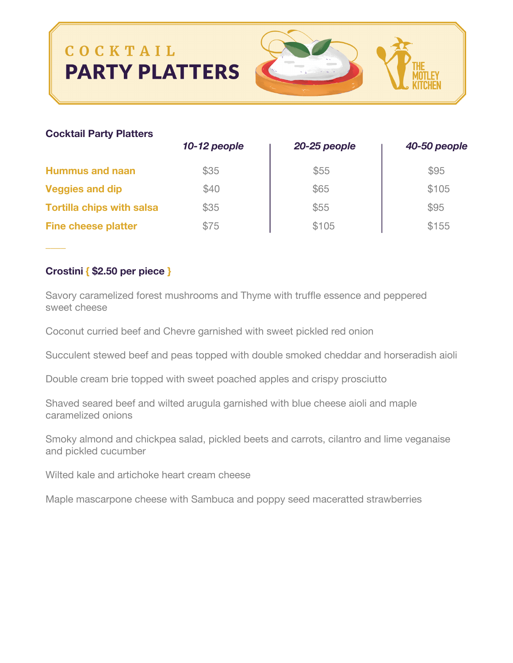# COCKTAIL **PARTY PLATTERS**



## **Cocktail Party Platters**

|                                  | 10-12 people | 20-25 people | 40-50 people |
|----------------------------------|--------------|--------------|--------------|
| <b>Hummus and naan</b>           | \$35         | \$55         | \$95         |
| <b>Veggies and dip</b>           | \$40         | \$65         | \$105        |
| <b>Tortilla chips with salsa</b> | \$35         | \$55         | \$95         |
| <b>Fine cheese platter</b>       | \$75         | \$105        | \$155        |

## **Crostini { \$2.50 per piece }**

*\_\_\_\_*

Savory caramelized forest mushrooms and Thyme with truffle essence and peppered sweet cheese

Coconut curried beef and Chevre garnished with sweet pickled red onion

Succulent stewed beef and peas topped with double smoked cheddar and horseradish aioli

Double cream brie topped with sweet poached apples and crispy prosciutto

Shaved seared beef and wilted arugula garnished with blue cheese aioli and maple caramelized onions

Smoky almond and chickpea salad, pickled beets and carrots, cilantro and lime veganaise and pickled cucumber

Wilted kale and artichoke heart cream cheese

Maple mascarpone cheese with Sambuca and poppy seed maceratted strawberries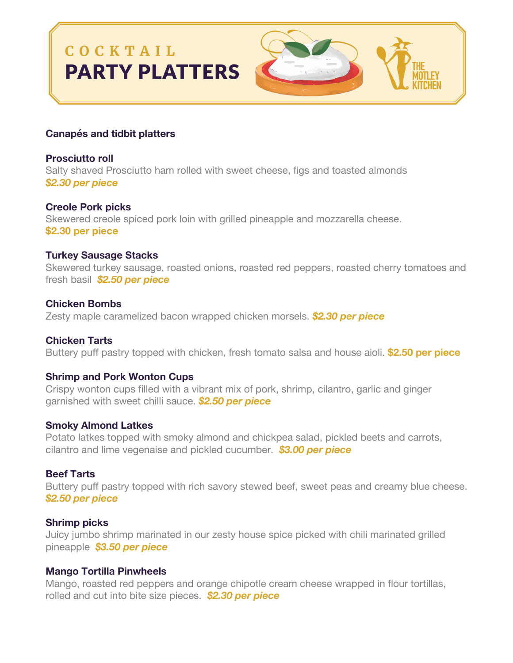# COCKTAIL **PARTY PLATTERS**



## **Canapés and tidbit platters**

**Prosciutto roll** Salty shaved Prosciutto ham rolled with sweet cheese, figs and toasted almonds *\$2.30 per piece*

**Creole Pork picks** Skewered creole spiced pork loin with grilled pineapple and mozzarella cheese. **\$2.30 per piece**

## **Turkey Sausage Stacks**

Skewered turkey sausage, roasted onions, roasted red peppers, roasted cherry tomatoes and fresh basil *\$2.50 per piece*

## **Chicken Bombs**

Zesty maple caramelized bacon wrapped chicken morsels. *\$2.30 per piece*

## **Chicken Tarts**

Buttery puff pastry topped with chicken, fresh tomato salsa and house aioli. **\$2.50 per piece**

#### **Shrimp and Pork Wonton Cups**

Crispy wonton cups filled with a vibrant mix of pork, shrimp, cilantro, garlic and ginger garnished with sweet chilli sauce. *\$2.50 per piece*

#### **Smoky Almond Latkes**

Potato latkes topped with smoky almond and chickpea salad, pickled beets and carrots, cilantro and lime vegenaise and pickled cucumber. *\$3.00 per piece*

#### **Beef Tarts**

Buttery puff pastry topped with rich savory stewed beef, sweet peas and creamy blue cheese. *\$2.50 per piece*

#### **Shrimp picks**

Juicy jumbo shrimp marinated in our zesty house spice picked with chili marinated grilled pineapple *\$3.50 per piece*

#### **Mango Tortilla Pinwheels**

Mango, roasted red peppers and orange chipotle cream cheese wrapped in flour tortillas, rolled and cut into bite size pieces. *\$2.30 per piece*